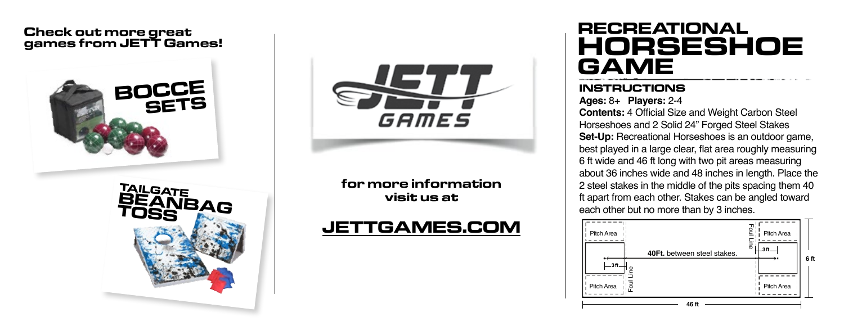#### **Check out more great games from JETT Games!**





**for more information visit us at**

## **JETTGAMES.COM**

# **RECREATIONAL HORSESHOE GAME**

#### **INSTRUCTIONS**

**Ages:** 8+ **Players:** 2-4

**Contents:** 4 Official Size and Weight Carbon Steel Horseshoes and 2 Solid 24" Forged Steel Stakes **Set-Up:** Recreational Horseshoes is an outdoor game, best played in a large clear, flat area roughly measuring 6 ft wide and 46 ft long with two pit areas measuring about 36 inches wide and 48 inches in length. Place the 2 steel stakes in the middle of the pits spacing them 40 ft apart from each other. Stakes can be angled toward each other but no more than by 3 inches.